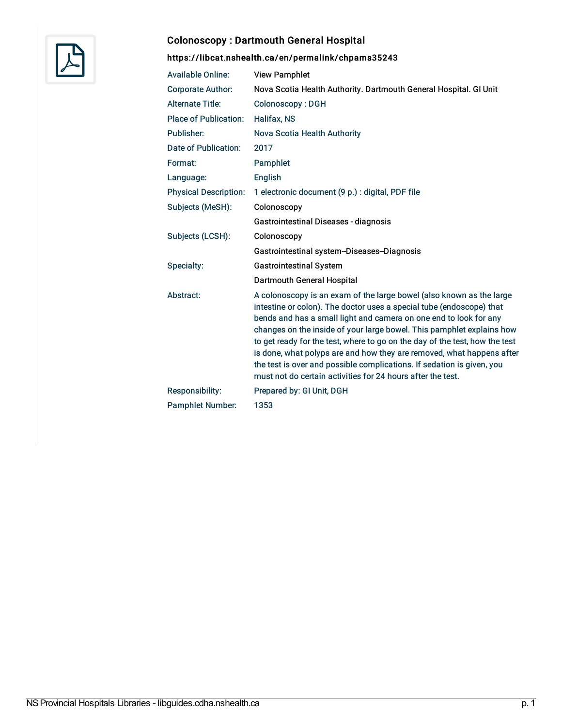

# Colonoscopy : Dartmouth General Hospital

| <b>Available Online:</b>     | <b>View Pamphlet</b>                                                                                                                                                                                                                                                                                                                                                                                                                                                                                                                                                                        |
|------------------------------|---------------------------------------------------------------------------------------------------------------------------------------------------------------------------------------------------------------------------------------------------------------------------------------------------------------------------------------------------------------------------------------------------------------------------------------------------------------------------------------------------------------------------------------------------------------------------------------------|
| <b>Corporate Author:</b>     | Nova Scotia Health Authority. Dartmouth General Hospital. GI Unit                                                                                                                                                                                                                                                                                                                                                                                                                                                                                                                           |
| <b>Alternate Title:</b>      | Colonoscopy: DGH                                                                                                                                                                                                                                                                                                                                                                                                                                                                                                                                                                            |
| <b>Place of Publication:</b> | <b>Halifax, NS</b>                                                                                                                                                                                                                                                                                                                                                                                                                                                                                                                                                                          |
| Publisher:                   | Nova Scotia Health Authority                                                                                                                                                                                                                                                                                                                                                                                                                                                                                                                                                                |
| Date of Publication:         | 2017                                                                                                                                                                                                                                                                                                                                                                                                                                                                                                                                                                                        |
| Format:                      | Pamphlet                                                                                                                                                                                                                                                                                                                                                                                                                                                                                                                                                                                    |
| Language:                    | English                                                                                                                                                                                                                                                                                                                                                                                                                                                                                                                                                                                     |
| <b>Physical Description:</b> | 1 electronic document (9 p.) : digital, PDF file                                                                                                                                                                                                                                                                                                                                                                                                                                                                                                                                            |
| Subjects (MeSH):             | Colonoscopy                                                                                                                                                                                                                                                                                                                                                                                                                                                                                                                                                                                 |
|                              | Gastrointestinal Diseases - diagnosis                                                                                                                                                                                                                                                                                                                                                                                                                                                                                                                                                       |
| Subjects (LCSH):             | Colonoscopy                                                                                                                                                                                                                                                                                                                                                                                                                                                                                                                                                                                 |
|                              | Gastrointestinal system-Diseases-Diagnosis                                                                                                                                                                                                                                                                                                                                                                                                                                                                                                                                                  |
| Specialty:                   | <b>Gastrointestinal System</b>                                                                                                                                                                                                                                                                                                                                                                                                                                                                                                                                                              |
|                              | Dartmouth General Hospital                                                                                                                                                                                                                                                                                                                                                                                                                                                                                                                                                                  |
| Abstract:                    | A colonoscopy is an exam of the large bowel (also known as the large<br>intestine or colon). The doctor uses a special tube (endoscope) that<br>bends and has a small light and camera on one end to look for any<br>changes on the inside of your large bowel. This pamphlet explains how<br>to get ready for the test, where to go on the day of the test, how the test<br>is done, what polyps are and how they are removed, what happens after<br>the test is over and possible complications. If sedation is given, you<br>must not do certain activities for 24 hours after the test. |
| Responsibility:              | Prepared by: GI Unit, DGH                                                                                                                                                                                                                                                                                                                                                                                                                                                                                                                                                                   |
| <b>Pamphlet Number:</b>      | 1353                                                                                                                                                                                                                                                                                                                                                                                                                                                                                                                                                                                        |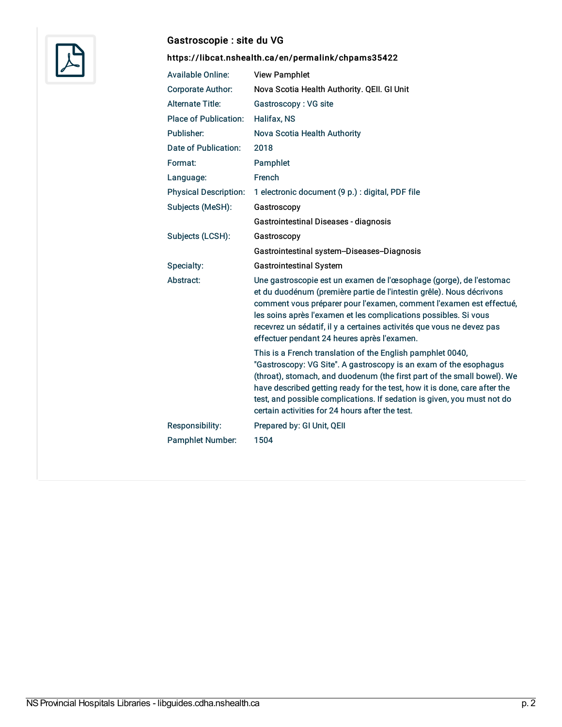

### Gastroscopie : site du VG

| <b>Available Online:</b>     | <b>View Pamphlet</b>                                                                                                                                                                                                                                                                                                                                                                                                  |
|------------------------------|-----------------------------------------------------------------------------------------------------------------------------------------------------------------------------------------------------------------------------------------------------------------------------------------------------------------------------------------------------------------------------------------------------------------------|
| <b>Corporate Author:</b>     | Nova Scotia Health Authority. QEII. GI Unit                                                                                                                                                                                                                                                                                                                                                                           |
| <b>Alternate Title:</b>      | Gastroscopy: VG site                                                                                                                                                                                                                                                                                                                                                                                                  |
| <b>Place of Publication:</b> | <b>Halifax, NS</b>                                                                                                                                                                                                                                                                                                                                                                                                    |
| Publisher:                   | Nova Scotia Health Authority                                                                                                                                                                                                                                                                                                                                                                                          |
| <b>Date of Publication:</b>  | 2018                                                                                                                                                                                                                                                                                                                                                                                                                  |
| Format:                      | Pamphlet                                                                                                                                                                                                                                                                                                                                                                                                              |
| Language:                    | French                                                                                                                                                                                                                                                                                                                                                                                                                |
| <b>Physical Description:</b> | 1 electronic document (9 p.) : digital, PDF file                                                                                                                                                                                                                                                                                                                                                                      |
| Subjects (MeSH):             | Gastroscopy                                                                                                                                                                                                                                                                                                                                                                                                           |
|                              | Gastrointestinal Diseases - diagnosis                                                                                                                                                                                                                                                                                                                                                                                 |
| Subjects (LCSH):             | Gastroscopy                                                                                                                                                                                                                                                                                                                                                                                                           |
|                              | Gastrointestinal system-Diseases-Diagnosis                                                                                                                                                                                                                                                                                                                                                                            |
|                              |                                                                                                                                                                                                                                                                                                                                                                                                                       |
| Specialty:                   | <b>Gastrointestinal System</b>                                                                                                                                                                                                                                                                                                                                                                                        |
| Abstract:                    | Une gastroscopie est un examen de l'œsophage (gorge), de l'estomac<br>et du duodénum (première partie de l'intestin grêle). Nous décrivons<br>comment vous préparer pour l'examen, comment l'examen est effectué,<br>les soins après l'examen et les complications possibles. Si vous<br>recevrez un sédatif, il y a certaines activités que vous ne devez pas<br>effectuer pendant 24 heures après l'examen.         |
|                              | This is a French translation of the English pamphlet 0040,<br>"Gastroscopy: VG Site". A gastroscopy is an exam of the esophagus<br>(throat), stomach, and duodenum (the first part of the small bowel). We<br>have described getting ready for the test, how it is done, care after the<br>test, and possible complications. If sedation is given, you must not do<br>certain activities for 24 hours after the test. |
| Responsibility:              | Prepared by: GI Unit, QEII                                                                                                                                                                                                                                                                                                                                                                                            |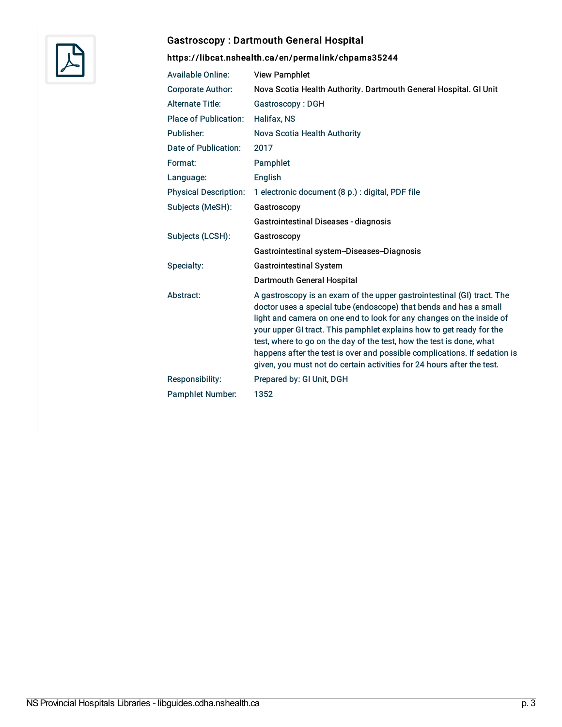

# Gastroscopy : Dartmouth General Hospital

| <b>Available Online:</b>     | <b>View Pamphlet</b>                                                                                                                                                                                                                                                                                                                                                                                                                                                                                                       |
|------------------------------|----------------------------------------------------------------------------------------------------------------------------------------------------------------------------------------------------------------------------------------------------------------------------------------------------------------------------------------------------------------------------------------------------------------------------------------------------------------------------------------------------------------------------|
| <b>Corporate Author:</b>     | Nova Scotia Health Authority. Dartmouth General Hospital. GI Unit                                                                                                                                                                                                                                                                                                                                                                                                                                                          |
| <b>Alternate Title:</b>      | Gastroscopy: DGH                                                                                                                                                                                                                                                                                                                                                                                                                                                                                                           |
| <b>Place of Publication:</b> | Halifax, NS                                                                                                                                                                                                                                                                                                                                                                                                                                                                                                                |
| Publisher:                   | Nova Scotia Health Authority                                                                                                                                                                                                                                                                                                                                                                                                                                                                                               |
| Date of Publication:         | 2017                                                                                                                                                                                                                                                                                                                                                                                                                                                                                                                       |
| Format:                      | Pamphlet                                                                                                                                                                                                                                                                                                                                                                                                                                                                                                                   |
| Language:                    | English                                                                                                                                                                                                                                                                                                                                                                                                                                                                                                                    |
| <b>Physical Description:</b> | 1 electronic document (8 p.) : digital, PDF file                                                                                                                                                                                                                                                                                                                                                                                                                                                                           |
| Subjects (MeSH):             | Gastroscopy                                                                                                                                                                                                                                                                                                                                                                                                                                                                                                                |
|                              | Gastrointestinal Diseases - diagnosis                                                                                                                                                                                                                                                                                                                                                                                                                                                                                      |
| Subjects (LCSH):             | Gastroscopy                                                                                                                                                                                                                                                                                                                                                                                                                                                                                                                |
|                              | Gastrointestinal system-Diseases-Diagnosis                                                                                                                                                                                                                                                                                                                                                                                                                                                                                 |
| Specialty:                   | <b>Gastrointestinal System</b>                                                                                                                                                                                                                                                                                                                                                                                                                                                                                             |
|                              | Dartmouth General Hospital                                                                                                                                                                                                                                                                                                                                                                                                                                                                                                 |
| Abstract:                    | A gastroscopy is an exam of the upper gastrointestinal (GI) tract. The<br>doctor uses a special tube (endoscope) that bends and has a small<br>light and camera on one end to look for any changes on the inside of<br>your upper GI tract. This pamphlet explains how to get ready for the<br>test, where to go on the day of the test, how the test is done, what<br>happens after the test is over and possible complications. If sedation is<br>given, you must not do certain activities for 24 hours after the test. |
| Responsibility:              | Prepared by: GI Unit, DGH                                                                                                                                                                                                                                                                                                                                                                                                                                                                                                  |
| <b>Pamphlet Number:</b>      | 1352                                                                                                                                                                                                                                                                                                                                                                                                                                                                                                                       |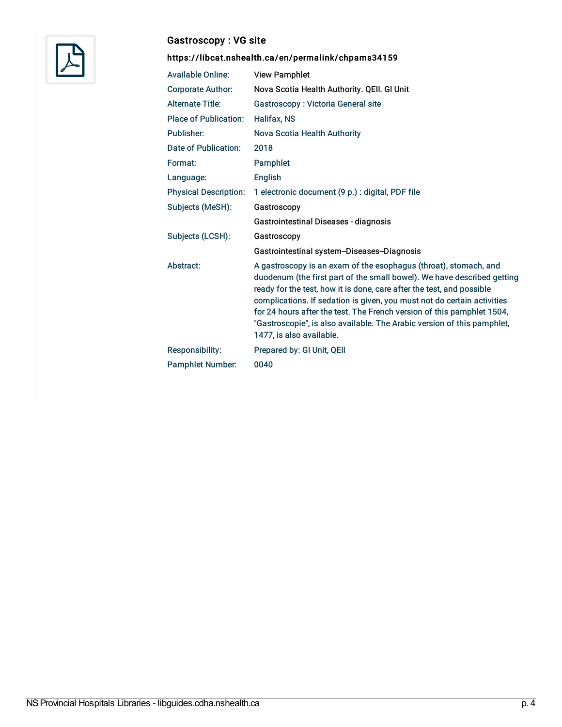

# Gastroscopy : VG site

| <b>Available Online:</b>     | <b>View Pamphlet</b>                                                                                                                                                                                                                                                                                                                                                                                                                                                             |
|------------------------------|----------------------------------------------------------------------------------------------------------------------------------------------------------------------------------------------------------------------------------------------------------------------------------------------------------------------------------------------------------------------------------------------------------------------------------------------------------------------------------|
| <b>Corporate Author:</b>     | Nova Scotia Health Authority. QEII. GI Unit                                                                                                                                                                                                                                                                                                                                                                                                                                      |
| <b>Alternate Title:</b>      | Gastroscopy: Victoria General site                                                                                                                                                                                                                                                                                                                                                                                                                                               |
| <b>Place of Publication:</b> | Halifax, NS                                                                                                                                                                                                                                                                                                                                                                                                                                                                      |
| Publisher:                   | Nova Scotia Health Authority                                                                                                                                                                                                                                                                                                                                                                                                                                                     |
| Date of Publication:         | 2018                                                                                                                                                                                                                                                                                                                                                                                                                                                                             |
| Format:                      | Pamphlet                                                                                                                                                                                                                                                                                                                                                                                                                                                                         |
| Language:                    | English                                                                                                                                                                                                                                                                                                                                                                                                                                                                          |
| <b>Physical Description:</b> | 1 electronic document (9 p.) : digital, PDF file                                                                                                                                                                                                                                                                                                                                                                                                                                 |
| Subjects (MeSH):             | Gastroscopy                                                                                                                                                                                                                                                                                                                                                                                                                                                                      |
|                              | Gastrointestinal Diseases - diagnosis                                                                                                                                                                                                                                                                                                                                                                                                                                            |
| Subjects (LCSH):             | Gastroscopy                                                                                                                                                                                                                                                                                                                                                                                                                                                                      |
|                              | Gastrointestinal system-Diseases-Diagnosis                                                                                                                                                                                                                                                                                                                                                                                                                                       |
| Abstract:                    | A gastroscopy is an exam of the esophagus (throat), stomach, and<br>duodenum (the first part of the small bowel). We have described getting<br>ready for the test, how it is done, care after the test, and possible<br>complications. If sedation is given, you must not do certain activities<br>for 24 hours after the test. The French version of this pamphlet 1504,<br>"Gastroscopie", is also available. The Arabic version of this pamphlet,<br>1477, is also available. |
| <b>Responsibility:</b>       | Prepared by: GI Unit, QEII                                                                                                                                                                                                                                                                                                                                                                                                                                                       |
| <b>Pamphlet Number:</b>      | 0040                                                                                                                                                                                                                                                                                                                                                                                                                                                                             |